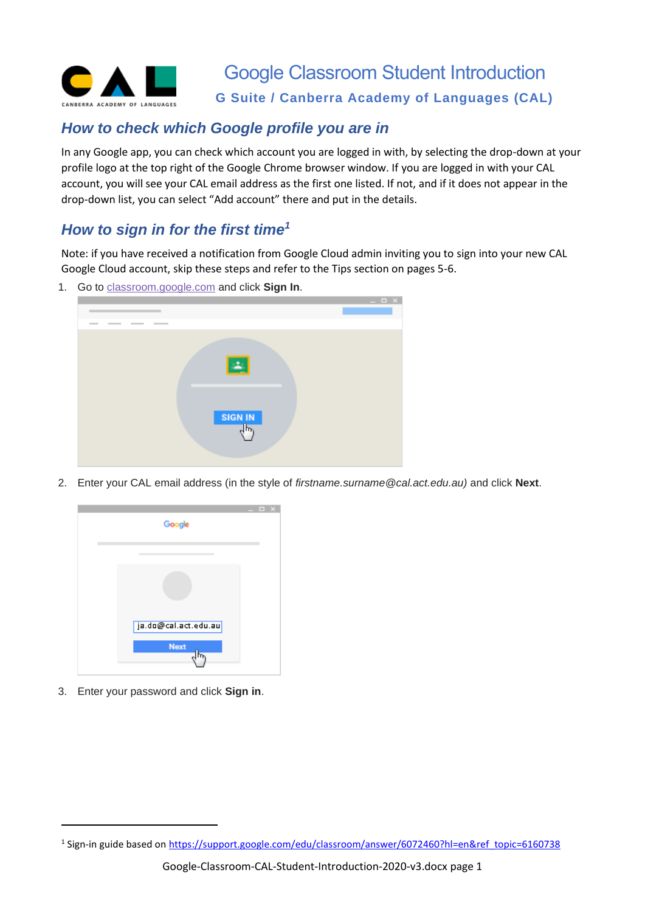

# *How to check which Google profile you are in*

In any Google app, you can check which account you are logged in with, by selecting the drop-down at your profile logo at the top right of the Google Chrome browser window. If you are logged in with your CAL account, you will see your CAL email address as the first one listed. If not, and if it does not appear in the drop-down list, you can select "Add account" there and put in the details.

# *How to sign in for the first time<sup>1</sup>*

Note: if you have received a notification from Google Cloud admin inviting you to sign into your new CAL Google Cloud account, skip these steps and refer to the Tips section on pages 5-6.

1. Go to [classroom.google.com](https://classroom.google.com/) and click **Sign In**.



2. Enter your CAL email address (in the style of *firstname.surname@cal.act.edu.au)* and click **Next**.



3. Enter your password and click **Sign in**.

<sup>&</sup>lt;sup>1</sup> Sign-in guide based on [https://support.google.com/edu/classroom/answer/6072460?hl=en&ref\\_topic=6160738](https://support.google.com/edu/classroom/answer/6072460?hl=en&ref_topic=6160738)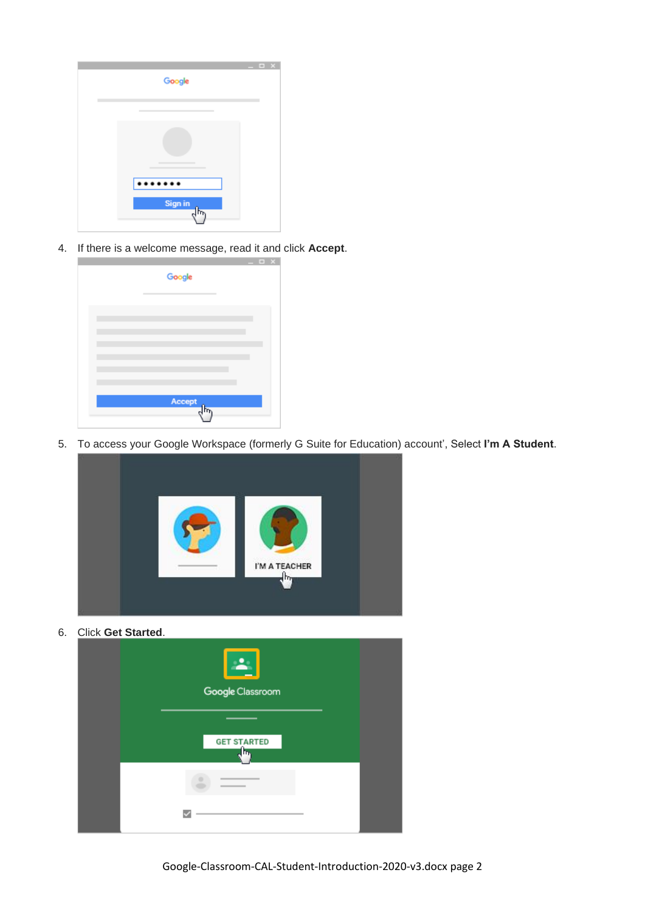| Google                  | $  \times$ |
|-------------------------|------------|
| ٠<br>٠                  |            |
|                         |            |
| $\cdots$<br>            |            |
| Sign in<br>$\mathbb{F}$ |            |

4. If there is a welcome message, read it and click **Accept**.



5. To access your Google Workspace (formerly G Suite for Education) account', Select **I'm A Student**.



6. Click **Get Started**.

| $\mathbf{L}$<br>Google Classroom |  |
|----------------------------------|--|
| <b>GET STARTED</b><br>Ռո         |  |
|                                  |  |
|                                  |  |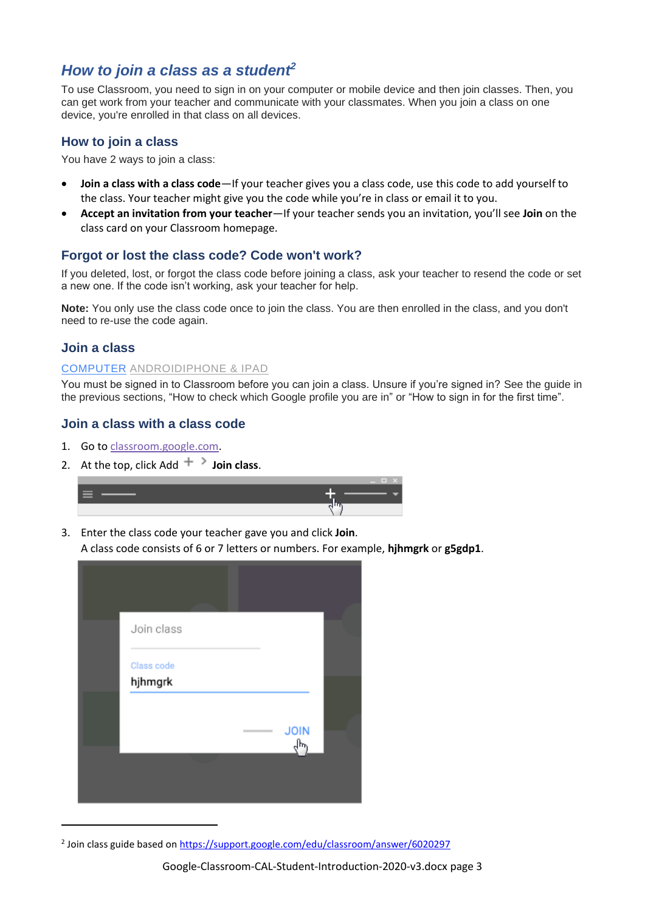## *How to join a class as a student<sup>2</sup>*

To use Classroom, you need to sign in on your computer or mobile device and then join classes. Then, you can get work from your teacher and communicate with your classmates. When you join a class on one device, you're enrolled in that class on all devices.

## **How to join a class**

You have 2 ways to join a class:

- **Join a class with a class code**—If your teacher gives you a class code, use this code to add yourself to the class. Your teacher might give you the code while you're in class or email it to you.
- **Accept an invitation from your teacher**—If your teacher sends you an invitation, you'll see **Join** on the class card on your Classroom homepage.

## **Forgot or lost the class code? Code won't work?**

If you deleted, lost, or forgot the class code before joining a class, ask your teacher to resend the code or set a new one. If the code isn't working, ask your teacher for help.

**Note:** You only use the class code once to join the class. You are then enrolled in the class, and you don't need to re-use the code again.

## **Join a class**

#### [COMPUTER](https://support.google.com/edu/classroom/answer/6020297?co=GENIE.Platform%3DDesktop&oco=1) [ANDROID](https://support.google.com/edu/classroom/answer/6020297?co=GENIE.Platform%3DAndroid&oco=1)[IPHONE & IPAD](https://support.google.com/edu/classroom/answer/6020297?co=GENIE.Platform%3DiOS&oco=1)

You must be signed in to Classroom before you can join a class. Unsure if you're signed in? See the guide in the previous sections, "How to check which Google profile you are in" or "How to sign in for the first time".

#### **Join a class with a class code**

- 1. Go to [classroom.google.com.](https://classroom.google.com/)
- 2. At the top, click Add  $+$   $\rightarrow$  **Join class.**



3. Enter the class code your teacher gave you and click **Join**.

A class code consists of 6 or 7 letters or numbers. For example, **hjhmgrk** or **g5gdp1**.

| Join class            |              |  |
|-----------------------|--------------|--|
| Class code<br>hjhmgrk |              |  |
|                       |              |  |
|                       | JOIN<br>JOIN |  |
|                       |              |  |

<sup>&</sup>lt;sup>2</sup> Join class guide based on<https://support.google.com/edu/classroom/answer/6020297>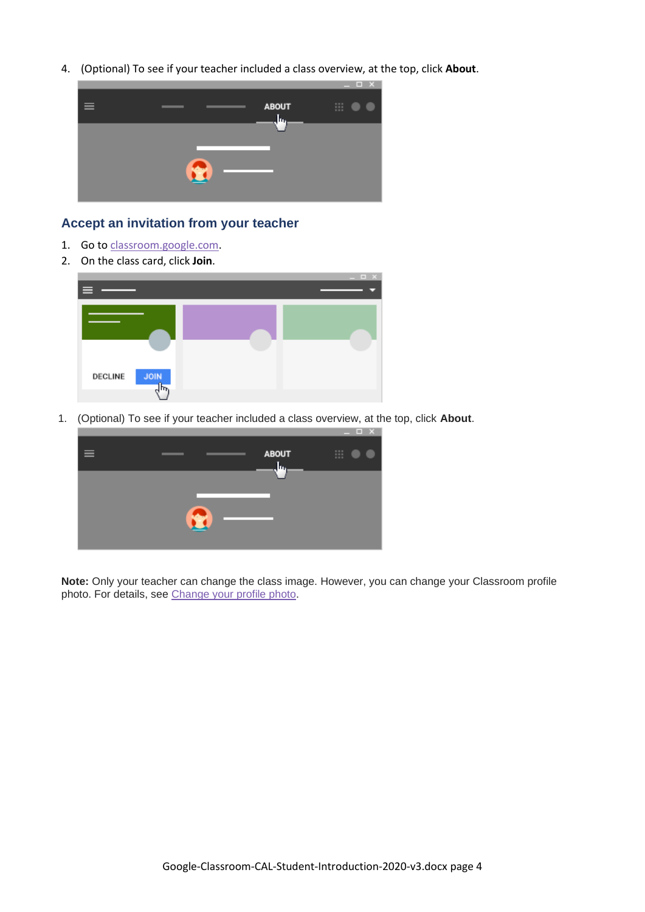4. (Optional) To see if your teacher included a class overview, at the top, click **About**.



## **Accept an invitation from your teacher**

- 1. Go to [classroom.google.com.](https://classroom.google.com/)
- 2. On the class card, click **Join**.



1. (Optional) To see if your teacher included a class overview, at the top, click **About**.



**Note:** Only your teacher can change the class image. However, you can change your Classroom profile photo. For details, see [Change your profile photo.](https://support.google.com/edu/classroom/answer/6024910#profile_Photo)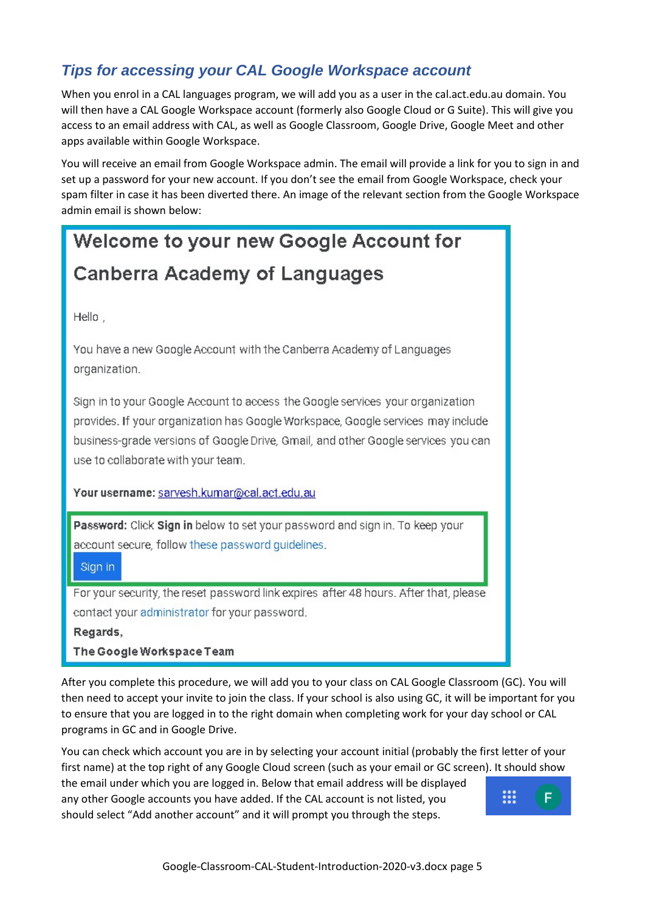# *Tips for accessing your CAL Google Workspace account*

When you enrol in a CAL languages program, we will add you as a user in the cal.act.edu.au domain. You will then have a CAL Google Workspace account (formerly also Google Cloud or G Suite). This will give you access to an email address with CAL, as well as Google Classroom, Google Drive, Google Meet and other apps available within Google Workspace.

You will receive an email from Google Workspace admin. The email will provide a link for you to sign in and set up a password for your new account. If you don't see the email from Google Workspace, check your spam filter in case it has been diverted there. An image of the relevant section from the Google Workspace admin email is shown below:

# Welcome to your new Google Account for **Canberra Academy of Languages**

Hello.

You have a new Google Account with the Canberra Academy of Languages organization.

Sign in to your Google Account to access the Google services your organization provides. If your organization has Google Workspace, Google services may include business-grade versions of Google Drive, Gmail, and other Google services you can use to collaborate with your team.

Your username: sarvesh.kumar@cal.act.edu.au

Password: Click Sign in below to set your password and sign in. To keep your account secure, follow these password quidelines.

Sign in

For your security, the reset password link expires after 48 hours. After that, please contact your administrator for your password.

Regards,

The Google Workspace Team

After you complete this procedure, we will add you to your class on CAL Google Classroom (GC). You will then need to accept your invite to join the class. If your school is also using GC, it will be important for you to ensure that you are logged in to the right domain when completing work for your day school or CAL programs in GC and in Google Drive.

You can check which account you are in by selecting your account initial (probably the first letter of your first name) at the top right of any Google Cloud screen (such as your email or GC screen). It should show the email under which you are logged in. Below that email address will be displayed ₩ F. any other Google accounts you have added. If the CAL account is not listed, you should select "Add another account" and it will prompt you through the steps.